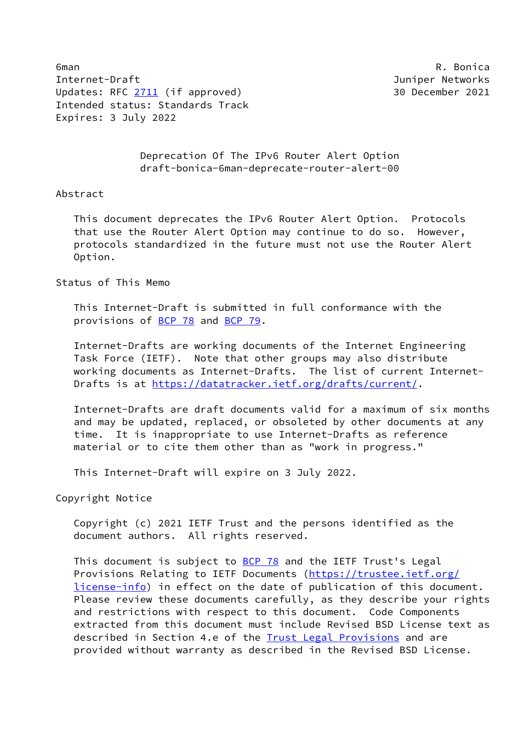6man R. Bonica Internet-Draft Juniper Networks Updates: RFC [2711](https://datatracker.ietf.org/doc/pdf/rfc2711) (if approved) 30 December 2021 Intended status: Standards Track Expires: 3 July 2022

 Deprecation Of The IPv6 Router Alert Option draft-bonica-6man-deprecate-router-alert-00

## Abstract

 This document deprecates the IPv6 Router Alert Option. Protocols that use the Router Alert Option may continue to do so. However, protocols standardized in the future must not use the Router Alert Option.

## Status of This Memo

 This Internet-Draft is submitted in full conformance with the provisions of [BCP 78](https://datatracker.ietf.org/doc/pdf/bcp78) and [BCP 79](https://datatracker.ietf.org/doc/pdf/bcp79).

 Internet-Drafts are working documents of the Internet Engineering Task Force (IETF). Note that other groups may also distribute working documents as Internet-Drafts. The list of current Internet- Drafts is at<https://datatracker.ietf.org/drafts/current/>.

 Internet-Drafts are draft documents valid for a maximum of six months and may be updated, replaced, or obsoleted by other documents at any time. It is inappropriate to use Internet-Drafts as reference material or to cite them other than as "work in progress."

This Internet-Draft will expire on 3 July 2022.

Copyright Notice

 Copyright (c) 2021 IETF Trust and the persons identified as the document authors. All rights reserved.

This document is subject to **[BCP 78](https://datatracker.ietf.org/doc/pdf/bcp78)** and the IETF Trust's Legal Provisions Relating to IETF Documents ([https://trustee.ietf.org/](https://trustee.ietf.org/license-info) [license-info](https://trustee.ietf.org/license-info)) in effect on the date of publication of this document. Please review these documents carefully, as they describe your rights and restrictions with respect to this document. Code Components extracted from this document must include Revised BSD License text as described in Section 4.e of the **Trust Legal Provisions** and are provided without warranty as described in the Revised BSD License.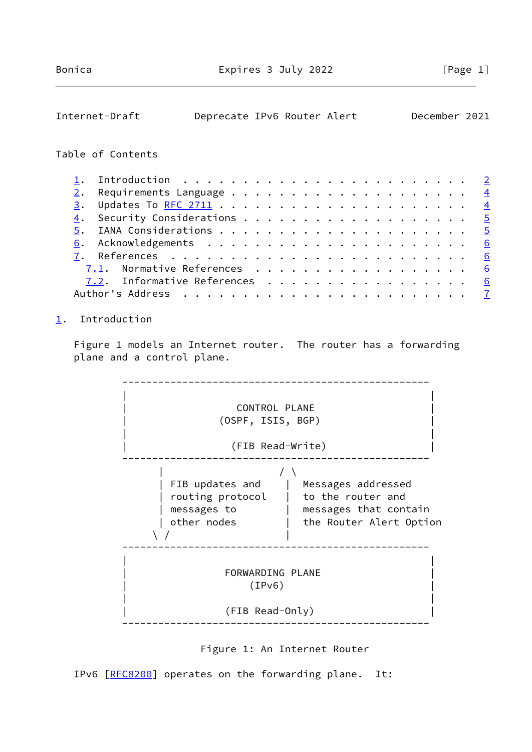<span id="page-1-1"></span>

| Internet-Draft                 | Deprecate IPv6 Router Alert |  |  |  |  |  |  |  |  | December 2021   |
|--------------------------------|-----------------------------|--|--|--|--|--|--|--|--|-----------------|
| Table of Contents              |                             |  |  |  |  |  |  |  |  |                 |
| ı.                             |                             |  |  |  |  |  |  |  |  | $\mathbf{Z}$    |
| $2$ .                          |                             |  |  |  |  |  |  |  |  | $\overline{4}$  |
| $\overline{3}$ .               |                             |  |  |  |  |  |  |  |  | $\overline{4}$  |
| 4.                             |                             |  |  |  |  |  |  |  |  | $\overline{5}$  |
| 5.                             |                             |  |  |  |  |  |  |  |  | $\overline{5}$  |
| 6.                             |                             |  |  |  |  |  |  |  |  | $\underline{6}$ |
| 7.                             |                             |  |  |  |  |  |  |  |  | 6               |
| Normative References<br>7.1.   |                             |  |  |  |  |  |  |  |  | 6               |
| Informative References<br>7.2. |                             |  |  |  |  |  |  |  |  | 6               |
| Author's Address               |                             |  |  |  |  |  |  |  |  |                 |

## <span id="page-1-0"></span>[1](#page-1-0). Introduction

Figure 1 models an Internet router. The router has a forwarding plane and a control plane.





IPv6 [\[RFC8200](https://datatracker.ietf.org/doc/pdf/rfc8200)] operates on the forwarding plane. It: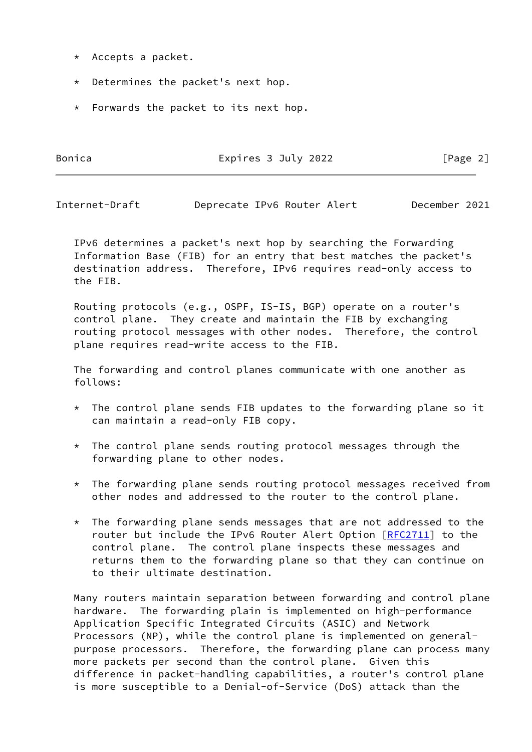- \* Accepts a packet.
- \* Determines the packet's next hop.
- \* Forwards the packet to its next hop.

Bonica **Expires 3 July 2022** [Page 2]

Internet-Draft Deprecate IPv6 Router Alert December 2021

 IPv6 determines a packet's next hop by searching the Forwarding Information Base (FIB) for an entry that best matches the packet's destination address. Therefore, IPv6 requires read-only access to the FIB.

 Routing protocols (e.g., OSPF, IS-IS, BGP) operate on a router's control plane. They create and maintain the FIB by exchanging routing protocol messages with other nodes. Therefore, the control plane requires read-write access to the FIB.

 The forwarding and control planes communicate with one another as follows:

- \* The control plane sends FIB updates to the forwarding plane so it can maintain a read-only FIB copy.
- \* The control plane sends routing protocol messages through the forwarding plane to other nodes.
- \* The forwarding plane sends routing protocol messages received from other nodes and addressed to the router to the control plane.
- $*$  The forwarding plane sends messages that are not addressed to the router but include the IPv6 Router Alert Option [[RFC2711\]](https://datatracker.ietf.org/doc/pdf/rfc2711) to the control plane. The control plane inspects these messages and returns them to the forwarding plane so that they can continue on to their ultimate destination.

 Many routers maintain separation between forwarding and control plane hardware. The forwarding plain is implemented on high-performance Application Specific Integrated Circuits (ASIC) and Network Processors (NP), while the control plane is implemented on general purpose processors. Therefore, the forwarding plane can process many more packets per second than the control plane. Given this difference in packet-handling capabilities, a router's control plane is more susceptible to a Denial-of-Service (DoS) attack than the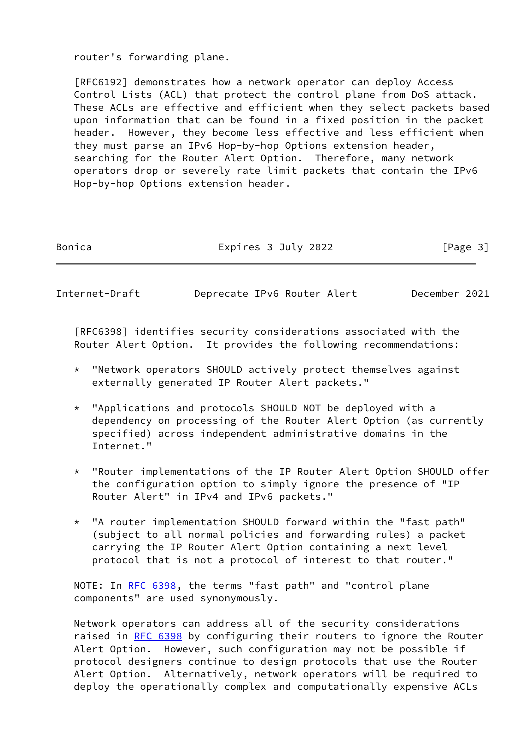router's forwarding plane.

 [RFC6192] demonstrates how a network operator can deploy Access Control Lists (ACL) that protect the control plane from DoS attack. These ACLs are effective and efficient when they select packets based upon information that can be found in a fixed position in the packet header. However, they become less effective and less efficient when they must parse an IPv6 Hop-by-hop Options extension header, searching for the Router Alert Option. Therefore, many network operators drop or severely rate limit packets that contain the IPv6 Hop-by-hop Options extension header.

Bonica **Expires 3 July 2022** [Page 3]

<span id="page-3-0"></span>Internet-Draft Deprecate IPv6 Router Alert December 2021

 [RFC6398] identifies security considerations associated with the Router Alert Option. It provides the following recommendations:

- \* "Network operators SHOULD actively protect themselves against externally generated IP Router Alert packets."
- \* "Applications and protocols SHOULD NOT be deployed with a dependency on processing of the Router Alert Option (as currently specified) across independent administrative domains in the Internet."
- \* "Router implementations of the IP Router Alert Option SHOULD offer the configuration option to simply ignore the presence of "IP Router Alert" in IPv4 and IPv6 packets."
- \* "A router implementation SHOULD forward within the "fast path" (subject to all normal policies and forwarding rules) a packet carrying the IP Router Alert Option containing a next level protocol that is not a protocol of interest to that router."

NOTE: In [RFC 6398](https://datatracker.ietf.org/doc/pdf/rfc6398), the terms "fast path" and "control plane components" are used synonymously.

 Network operators can address all of the security considerations raised in [RFC 6398](https://datatracker.ietf.org/doc/pdf/rfc6398) by configuring their routers to ignore the Router Alert Option. However, such configuration may not be possible if protocol designers continue to design protocols that use the Router Alert Option. Alternatively, network operators will be required to deploy the operationally complex and computationally expensive ACLs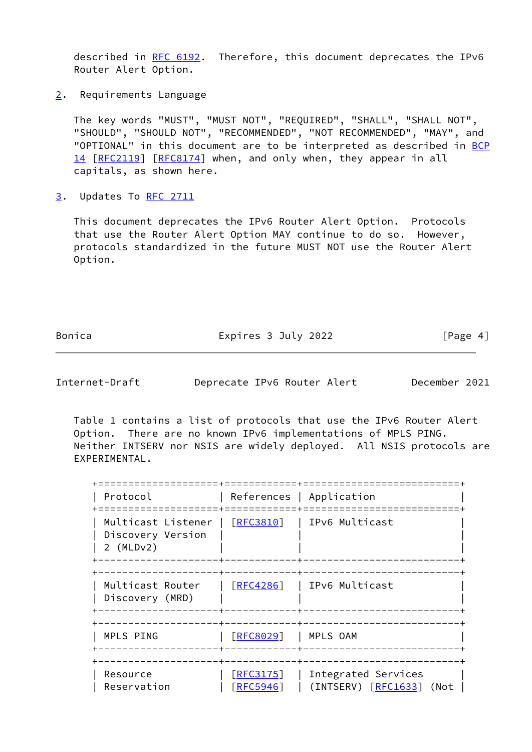described in [RFC 6192](https://datatracker.ietf.org/doc/pdf/rfc6192). Therefore, this document deprecates the IPv6 Router Alert Option.

<span id="page-4-0"></span>[2](#page-4-0). Requirements Language

 The key words "MUST", "MUST NOT", "REQUIRED", "SHALL", "SHALL NOT", "SHOULD", "SHOULD NOT", "RECOMMENDED", "NOT RECOMMENDED", "MAY", and "OPTIONAL" in this document are to be interpreted as described in [BCP](https://datatracker.ietf.org/doc/pdf/bcp14) [14](https://datatracker.ietf.org/doc/pdf/bcp14) [[RFC2119\]](https://datatracker.ietf.org/doc/pdf/rfc2119) [\[RFC8174](https://datatracker.ietf.org/doc/pdf/rfc8174)] when, and only when, they appear in all capitals, as shown here.

<span id="page-4-1"></span>[3](#page-4-1). Updates To [RFC 2711](https://datatracker.ietf.org/doc/pdf/rfc2711)

 This document deprecates the IPv6 Router Alert Option. Protocols that use the Router Alert Option MAY continue to do so. However, protocols standardized in the future MUST NOT use the Router Alert Option.

Bonica **Expires 3 July 2022** [Page 4]

<span id="page-4-2"></span>Internet-Draft Deprecate IPv6 Router Alert December 2021

 Table 1 contains a list of protocols that use the IPv6 Router Alert Option. There are no known IPv6 implementations of MPLS PING. Neither INTSERV nor NSIS are widely deployed. All NSIS protocols are EXPERIMENTAL.

| Protocol                                               |                             | References   Application                        |
|--------------------------------------------------------|-----------------------------|-------------------------------------------------|
| Multicast Listener<br>Discovery Version<br>$2$ (MLDv2) | [REC3810]                   | IPv6 Multicast                                  |
| Multicast Router<br>Discovery (MRD)                    | $\lceil$ RFC4286 $\rceil$   | IPv6 Multicast                                  |
| MPLS PING                                              | [REC8029]                   | MPLS OAM                                        |
| Resource<br>Reservation                                | [REC3175]<br><b>RFC5946</b> | Integrated Services<br>(INTSERV) [RFC1633] (Not |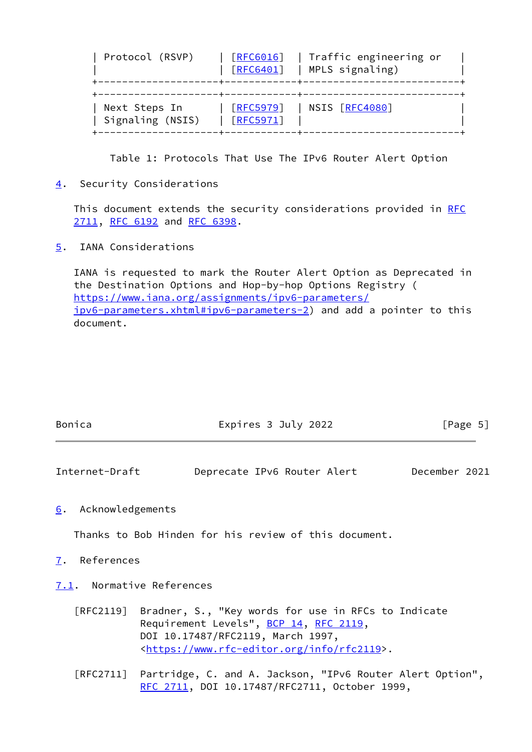| Protocol (RSVP)                   | [REG016]<br><b>FRFC6401]</b>   | Traffic engineering or<br>MPLS signaling) |
|-----------------------------------|--------------------------------|-------------------------------------------|
| Next Steps In<br>Signaling (NSIS) | $\lceil$ RFC5979]<br>[REC5971] | NSIS [RFC4080]                            |

Table 1: Protocols That Use The IPv6 Router Alert Option

<span id="page-5-0"></span>[4](#page-5-0). Security Considerations

This document extends the security considerations provided in [RFC](https://datatracker.ietf.org/doc/pdf/rfc2711) [2711](https://datatracker.ietf.org/doc/pdf/rfc2711), [RFC 6192](https://datatracker.ietf.org/doc/pdf/rfc6192) and [RFC 6398.](https://datatracker.ietf.org/doc/pdf/rfc6398)

<span id="page-5-1"></span>[5](#page-5-1). IANA Considerations

 IANA is requested to mark the Router Alert Option as Deprecated in the Destination Options and Hop-by-hop Options Registry ( [https://www.iana.org/assignments/ipv6-parameters/](https://www.iana.org/assignments/ipv6-parameters/ipv6-parameters.xhtml#ipv6-parameters-2) [ipv6-parameters.xhtml#ipv6-parameters-2](https://www.iana.org/assignments/ipv6-parameters/ipv6-parameters.xhtml#ipv6-parameters-2)) and add a pointer to this document.

| Bonica | Expires 3 July 2022 | [Page 5] |  |
|--------|---------------------|----------|--|
|        |                     |          |  |

<span id="page-5-3"></span>Internet-Draft Deprecate IPv6 Router Alert December 2021

<span id="page-5-2"></span>[6](#page-5-2). Acknowledgements

Thanks to Bob Hinden for his review of this document.

## <span id="page-5-4"></span>[7](#page-5-4). References

- <span id="page-5-5"></span>[7.1](#page-5-5). Normative References
	- [RFC2119] Bradner, S., "Key words for use in RFCs to Indicate Requirement Levels", [BCP 14](https://datatracker.ietf.org/doc/pdf/bcp14), [RFC 2119](https://datatracker.ietf.org/doc/pdf/rfc2119), DOI 10.17487/RFC2119, March 1997, <[https://www.rfc-editor.org/info/rfc2119>](https://www.rfc-editor.org/info/rfc2119).
	- [RFC2711] Partridge, C. and A. Jackson, "IPv6 Router Alert Option", [RFC 2711,](https://datatracker.ietf.org/doc/pdf/rfc2711) DOI 10.17487/RFC2711, October 1999,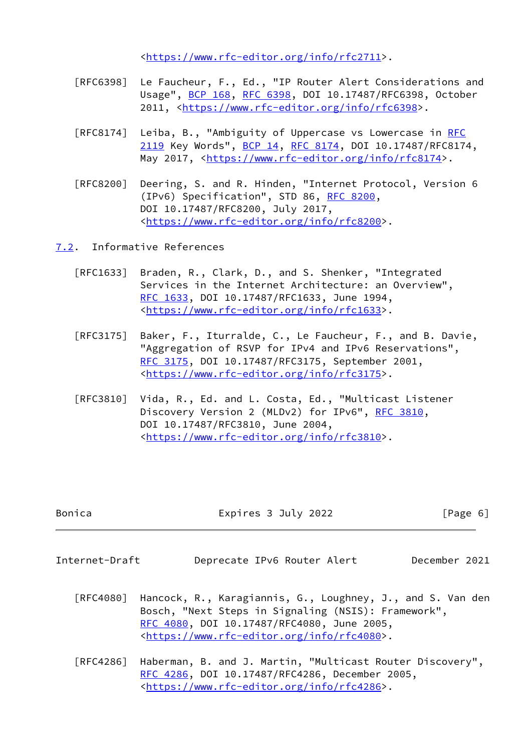<[https://www.rfc-editor.org/info/rfc2711>](https://www.rfc-editor.org/info/rfc2711).

- [RFC6398] Le Faucheur, F., Ed., "IP Router Alert Considerations and Usage", [BCP 168](https://datatracker.ietf.org/doc/pdf/bcp168), [RFC 6398,](https://datatracker.ietf.org/doc/pdf/rfc6398) DOI 10.17487/RFC6398, October 2011, [<https://www.rfc-editor.org/info/rfc6398](https://www.rfc-editor.org/info/rfc6398)>.
- [RFC8174] Leiba, B., "Ambiguity of Uppercase vs Lowercase in [RFC](https://datatracker.ietf.org/doc/pdf/rfc2119) [2119](https://datatracker.ietf.org/doc/pdf/rfc2119) Key Words", [BCP 14](https://datatracker.ietf.org/doc/pdf/bcp14), [RFC 8174,](https://datatracker.ietf.org/doc/pdf/rfc8174) DOI 10.17487/RFC8174, May 2017, [<https://www.rfc-editor.org/info/rfc8174](https://www.rfc-editor.org/info/rfc8174)>.
- [RFC8200] Deering, S. and R. Hinden, "Internet Protocol, Version 6 (IPv6) Specification", STD 86, [RFC 8200](https://datatracker.ietf.org/doc/pdf/rfc8200), DOI 10.17487/RFC8200, July 2017, <[https://www.rfc-editor.org/info/rfc8200>](https://www.rfc-editor.org/info/rfc8200).

<span id="page-6-0"></span>[7.2](#page-6-0). Informative References

- [RFC1633] Braden, R., Clark, D., and S. Shenker, "Integrated Services in the Internet Architecture: an Overview", [RFC 1633,](https://datatracker.ietf.org/doc/pdf/rfc1633) DOI 10.17487/RFC1633, June 1994, <[https://www.rfc-editor.org/info/rfc1633>](https://www.rfc-editor.org/info/rfc1633).
- [RFC3175] Baker, F., Iturralde, C., Le Faucheur, F., and B. Davie, "Aggregation of RSVP for IPv4 and IPv6 Reservations", [RFC 3175,](https://datatracker.ietf.org/doc/pdf/rfc3175) DOI 10.17487/RFC3175, September 2001, <[https://www.rfc-editor.org/info/rfc3175>](https://www.rfc-editor.org/info/rfc3175).
- [RFC3810] Vida, R., Ed. and L. Costa, Ed., "Multicast Listener Discovery Version 2 (MLDv2) for IPv6", [RFC 3810](https://datatracker.ietf.org/doc/pdf/rfc3810), DOI 10.17487/RFC3810, June 2004, <[https://www.rfc-editor.org/info/rfc3810>](https://www.rfc-editor.org/info/rfc3810).

| Bonica | Expires 3 July 2022 | [Page 6] |
|--------|---------------------|----------|
|        |                     |          |

<span id="page-6-1"></span>

| Internet-Draft | Deprecate IPv6 Router Alert |  |  |  | December 2021 |  |
|----------------|-----------------------------|--|--|--|---------------|--|
|----------------|-----------------------------|--|--|--|---------------|--|

- [RFC4080] Hancock, R., Karagiannis, G., Loughney, J., and S. Van den Bosch, "Next Steps in Signaling (NSIS): Framework", [RFC 4080,](https://datatracker.ietf.org/doc/pdf/rfc4080) DOI 10.17487/RFC4080, June 2005, <[https://www.rfc-editor.org/info/rfc4080>](https://www.rfc-editor.org/info/rfc4080).
- [RFC4286] Haberman, B. and J. Martin, "Multicast Router Discovery", [RFC 4286,](https://datatracker.ietf.org/doc/pdf/rfc4286) DOI 10.17487/RFC4286, December 2005, <[https://www.rfc-editor.org/info/rfc4286>](https://www.rfc-editor.org/info/rfc4286).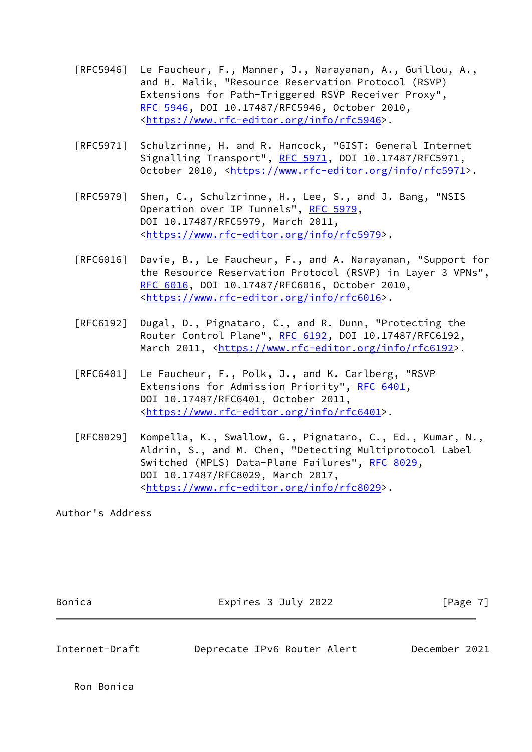- [RFC5946] Le Faucheur, F., Manner, J., Narayanan, A., Guillou, A., and H. Malik, "Resource Reservation Protocol (RSVP) Extensions for Path-Triggered RSVP Receiver Proxy", [RFC 5946,](https://datatracker.ietf.org/doc/pdf/rfc5946) DOI 10.17487/RFC5946, October 2010, <[https://www.rfc-editor.org/info/rfc5946>](https://www.rfc-editor.org/info/rfc5946).
- [RFC5971] Schulzrinne, H. and R. Hancock, "GIST: General Internet Signalling Transport", [RFC 5971](https://datatracker.ietf.org/doc/pdf/rfc5971), DOI 10.17487/RFC5971, October 2010, [<https://www.rfc-editor.org/info/rfc5971](https://www.rfc-editor.org/info/rfc5971)>.
- [RFC5979] Shen, C., Schulzrinne, H., Lee, S., and J. Bang, "NSIS Operation over IP Tunnels", [RFC 5979,](https://datatracker.ietf.org/doc/pdf/rfc5979) DOI 10.17487/RFC5979, March 2011, <[https://www.rfc-editor.org/info/rfc5979>](https://www.rfc-editor.org/info/rfc5979).
- [RFC6016] Davie, B., Le Faucheur, F., and A. Narayanan, "Support for the Resource Reservation Protocol (RSVP) in Layer 3 VPNs", [RFC 6016,](https://datatracker.ietf.org/doc/pdf/rfc6016) DOI 10.17487/RFC6016, October 2010, <[https://www.rfc-editor.org/info/rfc6016>](https://www.rfc-editor.org/info/rfc6016).
- [RFC6192] Dugal, D., Pignataro, C., and R. Dunn, "Protecting the Router Control Plane", [RFC 6192](https://datatracker.ietf.org/doc/pdf/rfc6192), DOI 10.17487/RFC6192, March 2011, [<https://www.rfc-editor.org/info/rfc6192](https://www.rfc-editor.org/info/rfc6192)>.
- [RFC6401] Le Faucheur, F., Polk, J., and K. Carlberg, "RSVP Extensions for Admission Priority", [RFC 6401,](https://datatracker.ietf.org/doc/pdf/rfc6401) DOI 10.17487/RFC6401, October 2011, <[https://www.rfc-editor.org/info/rfc6401>](https://www.rfc-editor.org/info/rfc6401).
- [RFC8029] Kompella, K., Swallow, G., Pignataro, C., Ed., Kumar, N., Aldrin, S., and M. Chen, "Detecting Multiprotocol Label Switched (MPLS) Data-Plane Failures", [RFC 8029](https://datatracker.ietf.org/doc/pdf/rfc8029), DOI 10.17487/RFC8029, March 2017, <[https://www.rfc-editor.org/info/rfc8029>](https://www.rfc-editor.org/info/rfc8029).

Author's Address

| Bonica         | Expires 3 July 2022         | $\lceil \text{Page } 7 \rceil$ |  |  |
|----------------|-----------------------------|--------------------------------|--|--|
|                |                             |                                |  |  |
| Internet-Draft | Deprecate IPv6 Router Alert | December 2021                  |  |  |